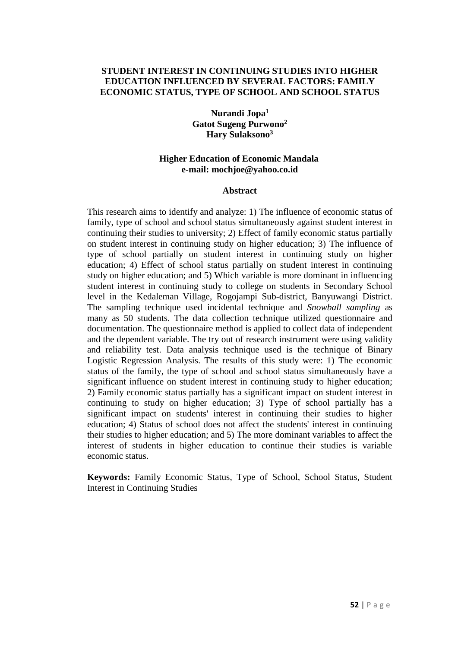#### **STUDENT INTEREST IN CONTINUING STUDIES INTO HIGHER EDUCATION INFLUENCED BY SEVERAL FACTORS: FAMILY ECONOMIC STATUS, TYPE OF SCHOOL AND SCHOOL STATUS**

**Nurandi Jopa<sup>1</sup> Gatot Sugeng Purwono<sup>2</sup> Hary Sulaksono<sup>3</sup>**

#### **Higher Education of Economic Mandala e-mail: mochjoe@yahoo.co.id**

#### **Abstract**

This research aims to identify and analyze: 1) The influence of economic status of family, type of school and school status simultaneously against student interest in continuing their studies to university; 2) Effect of family economic status partially on student interest in continuing study on higher education; 3) The influence of type of school partially on student interest in continuing study on higher education; 4) Effect of school status partially on student interest in continuing study on higher education; and 5) Which variable is more dominant in influencing student interest in continuing study to college on students in Secondary School level in the Kedaleman Village, Rogojampi Sub-district, Banyuwangi District. The sampling technique used incidental technique and *Snowball sampling* as many as 50 students. The data collection technique utilized questionnaire and documentation. The questionnaire method is applied to collect data of independent and the dependent variable. The try out of research instrument were using validity and reliability test. Data analysis technique used is the technique of Binary Logistic Regression Analysis. The results of this study were: 1) The economic status of the family, the type of school and school status simultaneously have a significant influence on student interest in continuing study to higher education; 2) Family economic status partially has a significant impact on student interest in continuing to study on higher education; 3) Type of school partially has a significant impact on students' interest in continuing their studies to higher education; 4) Status of school does not affect the students' interest in continuing their studies to higher education; and 5) The more dominant variables to affect the interest of students in higher education to continue their studies is variable economic status.

**Keywords:** Family Economic Status, Type of School, School Status, Student Interest in Continuing Studies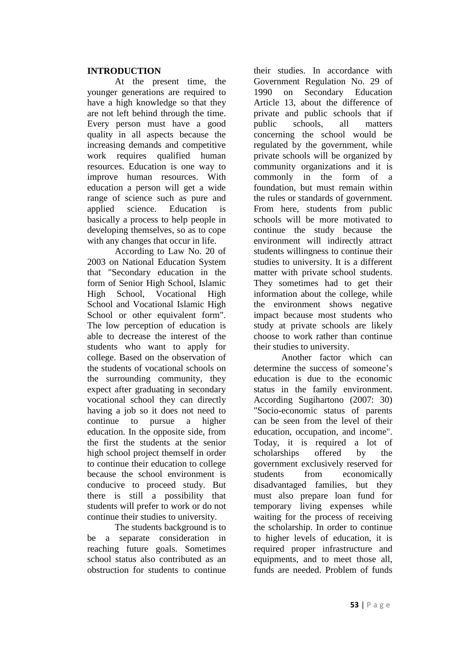#### **INTRODUCTION**

At the present time, the younger generations are required to have a high knowledge so that they are not left behind through the time. Every person must have a good quality in all aspects because the increasing demands and competitive work requires qualified human resources. Education is one way to improve human resources. With education a person will get a wide range of science such as pure and applied science. Education is basically a process to help people in developing themselves, so as to cope with any changes that occur in life.

According to Law No. 20 of 2003 on National Education System that "Secondary education in the form of Senior High School, Islamic High School, Vocational High School and Vocational Islamic High School or other equivalent form". The low perception of education is able to decrease the interest of the students who want to apply for college. Based on the observation of the students of vocational schools on the surrounding community, they expect after graduating in secondary vocational school they can directly having a job so it does not need to continue to pursue a higher education. In the opposite side, from the first the students at the senior high school project themself in order to continue their education to college because the school environment is conducive to proceed study. But there is still a possibility that students will prefer to work or do not continue their studies to university.

The students background is to be a separate consideration in reaching future goals. Sometimes school status also contributed as an obstruction for students to continue their studies. In accordance with Government Regulation No. 29 of 1990 on Secondary Education Article 13, about the difference of private and public schools that if public schools, all matters concerning the school would be regulated by the government, while private schools will be organized by community organizations and it is commonly in the form of a foundation, but must remain within the rules or standards of government. From here, students from public schools will be more motivated to continue the study because the environment will indirectly attract students willingness to continue their studies to university. It is a different matter with private school students. They sometimes had to get their information about the college, while the environment shows negative impact because most students who study at private schools are likely choose to work rather than continue their studies to university.

Another factor which can determine the success of someone's education is due to the economic status in the family environment. According Sugihartono (2007: 30) "Socio-economic status of parents can be seen from the level of their education, occupation, and income". Today, it is required a lot of scholarships offered by the government exclusively reserved for students from economically disadvantaged families, but they must also prepare loan fund for temporary living expenses while waiting for the process of receiving the scholarship. In order to continue to higher levels of education, it is required proper infrastructure and equipments, and to meet those all, funds are needed. Problem of funds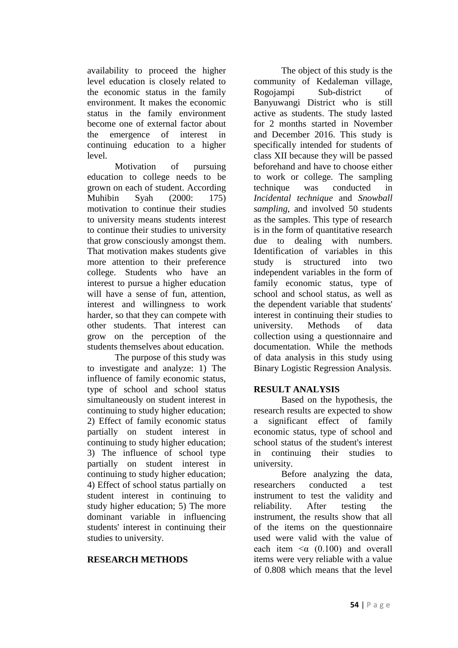availability to proceed the higher level education is closely related to the economic status in the family environment. It makes the economic status in the family environment become one of external factor about the emergence of interest in continuing education to a higher level.

Motivation of pursuing education to college needs to be grown on each of student. According Muhibin Syah (2000: 175) motivation to continue their studies to university means students interest to continue their studies to university that grow consciously amongst them. That motivation makes students give more attention to their preference college. Students who have an interest to pursue a higher education will have a sense of fun, attention. interest and willingness to work harder, so that they can compete with other students. That interest can grow on the perception of the students themselves about education.

The purpose of this study was to investigate and analyze: 1) The influence of family economic status, type of school and school status simultaneously on student interest in continuing to study higher education; 2) Effect of family economic status partially on student interest in continuing to study higher education; 3) The influence of school type partially on student interest in continuing to study higher education; 4) Effect of school status partially on student interest in continuing to study higher education; 5) The more dominant variable in influencing students' interest in continuing their studies to university.

## **RESEARCH METHODS**

The object of this study is the community of Kedaleman village, Rogojampi Sub-district of Banyuwangi District who is still active as students. The study lasted for 2 months started in November and December 2016. This study is specifically intended for students of class XII because they will be passed beforehand and have to choose either to work or college. The sampling technique was conducted in *Incidental technique* and *Snowball sampling*, and involved 50 students as the samples. This type of research is in the form of quantitative research due to dealing with numbers. Identification of variables in this study is structured into two independent variables in the form of family economic status, type of school and school status, as well as the dependent variable that students' interest in continuing their studies to<br>university. Methods of data university. Methods of data collection using a questionnaire and documentation. While the methods of data analysis in this study using Binary Logistic Regression Analysis.

## **RESULT ANALYSIS**

Based on the hypothesis, the research results are expected to show significant effect of family economic status, type of school and school status of the student's interest in continuing their studies to university.

Before analyzing the data, researchers conducted a test instrument to test the validity and reliability. After testing the instrument, the results show that all of the items on the questionnaire used were valid with the value of each item  $\alpha$  (0.100) and overall items were very reliable with a value of 0.808 which means that the level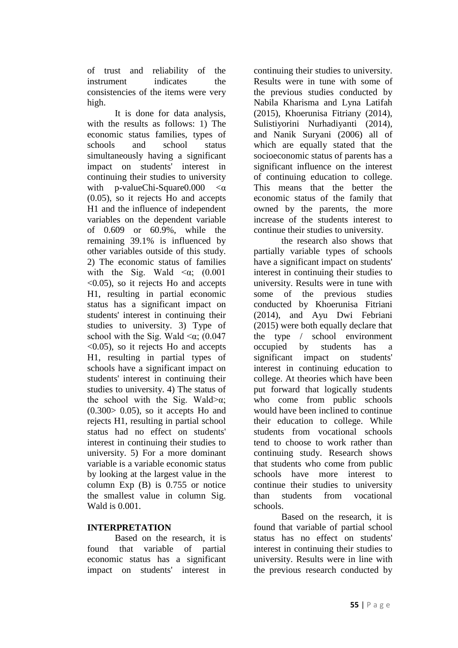of trust and reliability of the instrument indicates the consistencies of the items were very high.

It is done for data analysis, with the results as follows: 1) The economic status families, types of schools and school status simultaneously having a significant impact on students' interest in continuing their studies to university with p-valueChi-Square0.000  $\lt\alpha$ (0.05), so it rejects Ho and accepts H1 and the influence of independent variables on the dependent variable of 0.609 or 60.9%, while the remaining 39.1% is influenced by other variables outside of this study. 2) The economic status of families with the Sig. Wald  $\langle \alpha; (0.001) \rangle$ <0.05), so it rejects Ho and accepts H1, resulting in partial economic status has a significant impact on students' interest in continuing their studies to university. 3) Type of school with the Sig. Wald  $\leq \alpha$ ; (0.047 <0.05), so it rejects Ho and accepts H1, resulting in partial types of schools have a significant impact on students' interest in continuing their studies to university. 4) The status of the school with the Sig. Wald $>\alpha$ ;  $(0.300>0.05)$ , so it accepts Ho and rejects H1, resulting in partial school status had no effect on students' interest in continuing their studies to university. 5) For a more dominant variable is a variable economic status by looking at the largest value in the column Exp (B) is 0.755 or notice the smallest value in column Sig. Wald is 0.001.

## **INTERPRETATION**

Based on the research, it is found that variable of partial economic status has a significant impact on students' interest in continuing their studies to university. Results were in tune with some of the previous studies conducted by Nabila Kharisma and Lyna Latifah (2015), Khoerunisa Fitriany (2014), Sulistiyorini Nurhadiyanti (2014), and Nanik Suryani (2006) all of which are equally stated that the socioeconomic status of parents has a significant influence on the interest of continuing education to college. This means that the better the economic status of the family that owned by the parents, the more increase of the students interest to continue their studies to university.

the research also shows that partially variable types of schools have a significant impact on students' interest in continuing their studies to university. Results were in tune with some of the previous studies conducted by Khoerunisa Fitriani (2014), and Ayu Dwi Febriani (2015) were both equally declare that the type / school environment occupied by students has a significant impact on students' interest in continuing education to college. At theories which have been put forward that logically students who come from public schools would have been inclined to continue their education to college. While students from vocational schools tend to choose to work rather than continuing study. Research shows that students who come from public schools have more interest to continue their studies to university<br>than students from vocational than students from vocational schools.

Based on the research, it is found that variable of partial school status has no effect on students' interest in continuing their studies to university. Results were in line with the previous research conducted by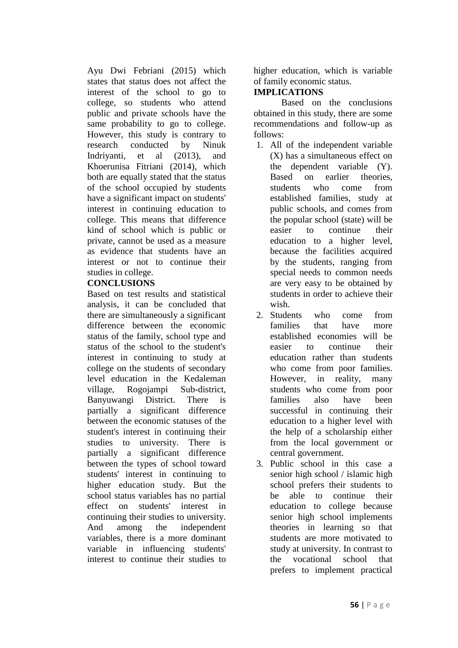Ayu Dwi Febriani (2015) which states that status does not affect the interest of the school to go to college, so students who attend public and private schools have the same probability to go to college. However, this study is contrary to research conducted by Ninuk Indriyanti, et al (2013), and Khoerunisa Fitriani (2014), which both are equally stated that the status of the school occupied by students have a significant impact on students' interest in continuing education to college. This means that difference kind of school which is public or private, cannot be used as a measure as evidence that students have an interest or not to continue their studies in college.

## **CONCLUSIONS**

Based on test results and statistical analysis, it can be concluded that there are simultaneously a significant difference between the economic status of the family, school type and status of the school to the student's interest in continuing to study at college on the students of secondary level education in the Kedaleman village, Rogojampi Sub-district, Banyuwangi District. There is partially a significant difference between the economic statuses of the student's interest in continuing their studies to university. There is partially a significant difference between the types of school toward students' interest in continuing to higher education study. But the school status variables has no partial effect on students' interest in continuing their studies to university. And among the independent variables, there is a more dominant variable in influencing students' interest to continue their studies to

higher education, which is variable of family economic status.

# **IMPLICATIONS**

Based on the conclusions obtained in this study, there are some recommendations and follow-up as follows:

- 1. All of the independent variable (X) has a simultaneous effect on the dependent variable (Y). Based on earlier theories, students who come from established families, study at public schools, and comes from the popular school (state) will be easier to continue their education to a higher level, because the facilities acquired by the students, ranging from special needs to common needs are very easy to be obtained by students in order to achieve their wish.
- 2. Students who come from families that have more established economies will be easier to continue their education rather than students who come from poor families. However, in reality, many students who come from poor families also have been successful in continuing their education to a higher level with the help of a scholarship either from the local government or central government.
- 3. Public school in this case a senior high school / islamic high school prefers their students to be able to continue their education to college because senior high school implements theories in learning so that students are more motivated to study at university. In contrast to the vocational school that prefers to implement practical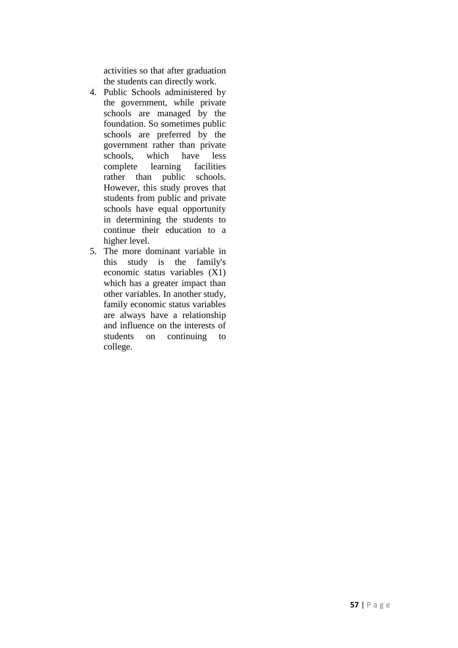activities so that after graduation the students can directly work.

- 4. Public Schools administered by the government, while private schools are managed by the foundation. So sometimes public schools are preferred by the government rather than private schools, which have less complete learning facilities rather than public schools. However, this study proves that students from public and private schools have equal opportunity in determining the students to continue their education to a higher level.
- 5. The more dominant variable in this study is the family's economic status variables (X1) which has a greater impact than other variables. In another study, family economic status variables are always have a relationship and influence on the interests of students on continuing to college.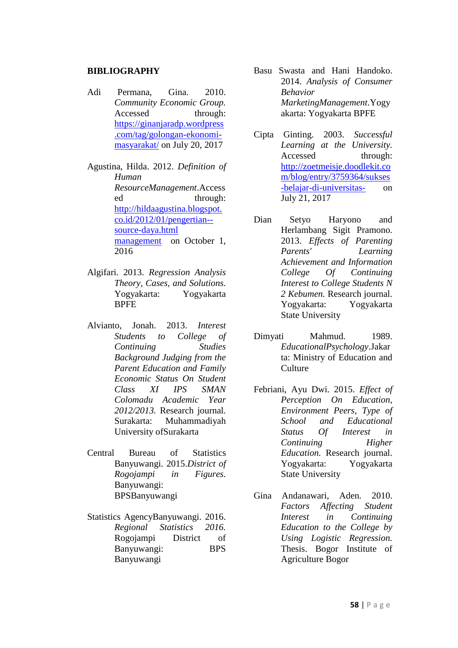#### **BIBLIOGRAPHY**

Adi Permana, Gina. 2010. *Community Economic Group.* Accessed through: [https://ginanjaradp.wordpress](https://ginanjaradp.wordpress.com/tag/golongan-ekonomi-masyarakat/) [.com/tag/golongan-ekonomi](https://ginanjaradp.wordpress.com/tag/golongan-ekonomi-masyarakat/)[masyarakat/](https://ginanjaradp.wordpress.com/tag/golongan-ekonomi-masyarakat/) on July 20, 2017

Agustina, Hilda. 2012. *Definition of Human ResourceManagement*.Access ed through: [http://hildaagustina.blogspot.](http://hildaagustina.blogspot.co.id/2012/01/pengertian-%20manajemen-sumber-daya.html) [co.id/2012/01/pengertian-](http://hildaagustina.blogspot.co.id/2012/01/pengertian-%20manajemen-sumber-daya.html) [source-daya.html](http://hildaagustina.blogspot.co.id/2012/01/pengertian-%20manajemen-sumber-daya.html)  [management](http://hildaagustina.blogspot.co.id/2012/01/pengertian-%20manajemen-sumber-daya.html) on October 1, 2016

- Algifari. 2013. *Regression Analysis Theory, Cases, and Solutions.* Yogyakarta: Yogyakarta **BPFE**
- Alvianto, Jonah. 2013. *Interest Students to College of Continuing Studies Background Judging from the Parent Education and Family Economic Status On Student Class XI IPS SMAN Colomadu Academic Year 2012/2013.* Research journal. Surakarta: Muhammadiyah University ofSurakarta
- Central Bureau of Statistics Banyuwangi. 2015.*District of Rogojampi in Figures.* Banyuwangi: BPSBanyuwangi
- Statistics AgencyBanyuwangi. 2016. *Regional Statistics 2016.*  Rogojampi District of Banyuwangi: BPS Banyuwangi
- Basu Swasta and Hani Handoko. 2014. *Analysis of Consumer Behavior MarketingManagement*.Yogy akarta: Yogyakarta BPFE
- Cipta Ginting. 2003. *Successful Learning at the University.* Accessed through: [http://zoetmeisje.doodlekit.co](http://zoetmeisje.doodlekit.com/blog/entry/3759364/sukses-belajar-di-universitas-) [m/blog/entry/3759364/sukses](http://zoetmeisje.doodlekit.com/blog/entry/3759364/sukses-belajar-di-universitas-) [-belajar-di-universitas-](http://zoetmeisje.doodlekit.com/blog/entry/3759364/sukses-belajar-di-universitas-) on July 21, 2017
- Dian Setyo Haryono and Herlambang Sigit Pramono. 2013. *Effects of Parenting Parents' Learning Achievement and Information College Of Continuing Interest to College Students N 2 Kebumen.* Research journal. Yogyakarta: Yogyakarta State University
- Dimyati Mahmud. 1989. *EducationalPsychology*.Jakar ta: Ministry of Education and Culture
- Febriani, Ayu Dwi. 2015. *Effect of Perception On Education, Environment Peers, Type of School and Educational Status Of Interest in Continuing Higher Education.* Research journal. Yogyakarta: Yogyakarta State University
- Gina Andanawari, Aden. 2010. *Factors Affecting Student Interest in Continuing Education to the College by Using Logistic Regression.* Thesis. Bogor Institute of Agriculture Bogor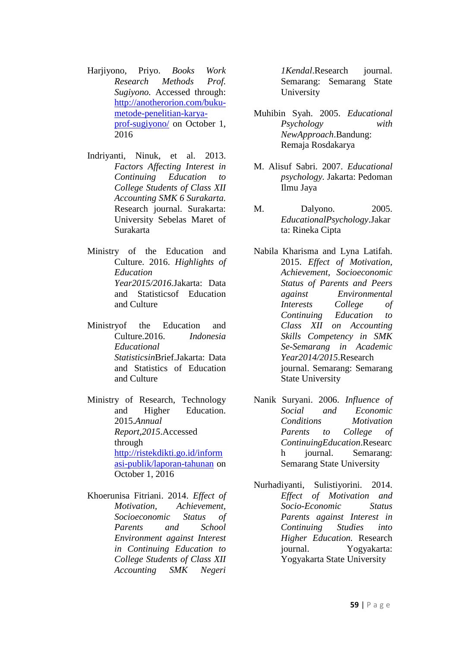Harjiyono, Priyo. *Books Work Research Methods Prof. Sugiyono.* Accessed through: [http://anotherorion.com/buku](http://anotherorion.com/buku-metode-penelitian-karya-prof-sugiyono/)[metode-penelitian-karya](http://anotherorion.com/buku-metode-penelitian-karya-prof-sugiyono/)[prof-sugiyono/](http://anotherorion.com/buku-metode-penelitian-karya-prof-sugiyono/) on October 1, 2016

Indriyanti, Ninuk, et al. 2013. *Factors Affecting Interest in Continuing Education to College Students of Class XII Accounting SMK 6 Surakarta.* Research journal. Surakarta: University Sebelas Maret of Surakarta

- Ministry of the Education and Culture. 2016. *Highlights of Education Year2015/2016.*Jakarta: Data and Statisticsof Education and Culture
- Ministryof the Education and Culture.2016. *Indonesia Educational Statisticsin*Brief.Jakarta: Data and Statistics of Education and Culture

Ministry of Research, Technology and Higher Education. 2015.*Annual Report,2015*.Accessed through [http://ristekdikti.go.id/inform](http://ristekdikti.go.id/informasi-publik/laporan-tahunan) [asi-publik/laporan-tahunan](http://ristekdikti.go.id/informasi-publik/laporan-tahunan) on October 1, 2016

Khoerunisa Fitriani. 2014. *Effect of Motivation, Achievement, Socioeconomic Status of Parents and School Environment against Interest in Continuing Education to College Students of Class XII Accounting SMK Negeri* 

*1Kendal*.Research journal. Semarang: Semarang State University

- Muhibin Syah. 2005. *Educational Psychology with NewApproach*.Bandung: Remaja Rosdakarya
- M. Alisuf Sabri. 2007. *Educational psychology.* Jakarta: Pedoman Ilmu Jaya
- M. Dalyono. 2005. *EducationalPsychology*.Jakar ta: Rineka Cipta
- Nabila Kharisma and Lyna Latifah. 2015. *Effect of Motivation, Achievement, Socioeconomic Status of Parents and Peers against Environmental Interests College of Continuing Education to Class XII on Accounting Skills Competency in SMK Se-Semarang in Academic Year2014/2015*.Research journal. Semarang: Semarang State University
- Nanik Suryani. 2006. *Influence of Social and Economic Conditions Motivation Parents to College of ContinuingEducation*.Researc h journal. Semarang: Semarang State University
- Nurhadiyanti, Sulistiyorini. 2014. *Effect of Motivation and Socio-Economic Status Parents against Interest in Continuing Studies into Higher Education.* Research journal. Yogyakarta: Yogyakarta State University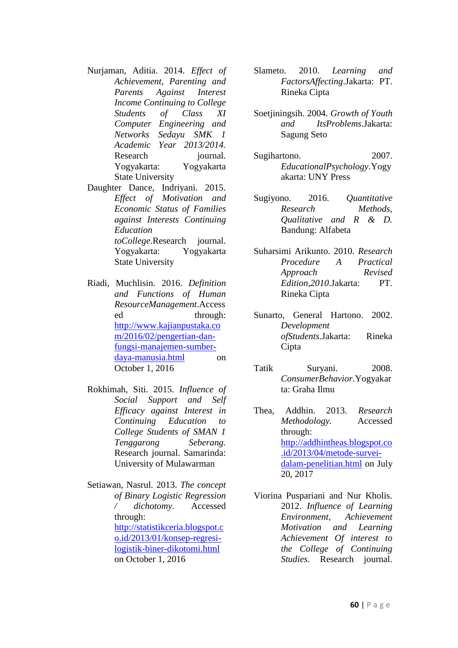- Nurjaman, Aditia. 2014. *Effect of Achievement, Parenting and Parents Against Interest Income Continuing to College Students of Class XI Computer Engineering and Networks Sedayu SMK 1 Academic Year 2013/2014.* Research journal. Yogyakarta: Yogyakarta State University
- Daughter Dance, Indriyani. 2015. *Effect of Motivation and Economic Status of Families against Interests Continuing Education toCollege*.Research journal. Yogyakarta: Yogyakarta State University
- Riadi, Muchlisin. 2016. *Definition and Functions of Human ResourceManagement*.Access ed through: [http://www.kajianpustaka.co](http://www.kajianpustaka.com/2016/02/pengertian-dan-fungsi-manajemen-sumber-daya-manusia.html) [m/2016/02/pengertian-dan](http://www.kajianpustaka.com/2016/02/pengertian-dan-fungsi-manajemen-sumber-daya-manusia.html)[fungsi-manajemen-sumber](http://www.kajianpustaka.com/2016/02/pengertian-dan-fungsi-manajemen-sumber-daya-manusia.html)[daya-manusia.html](http://www.kajianpustaka.com/2016/02/pengertian-dan-fungsi-manajemen-sumber-daya-manusia.html) on October 1, 2016
- Rokhimah, Siti. 2015. *Influence of Social Support and Self Efficacy against Interest in Continuing Education to College Students of SMAN 1 Tenggarong Seberang.* Research journal. Samarinda: University of Mulawarman

Setiawan, Nasrul. 2013. *The concept of Binary Logistic Regression / dichotomy.* Accessed through: [http://statistikceria.blogspot.c](http://statistikceria.blogspot.co.id/2013/01/konsep-regresi-logistik-biner-dikotomi.html) [o.id/2013/01/konsep-regresi](http://statistikceria.blogspot.co.id/2013/01/konsep-regresi-logistik-biner-dikotomi.html)[logistik-biner-dikotomi.html](http://statistikceria.blogspot.co.id/2013/01/konsep-regresi-logistik-biner-dikotomi.html) on October 1, 2016

- Slameto. 2010. *Learning and FactorsAffecting*.Jakarta: PT. Rineka Cipta
- Soetjiningsih. 2004. *Growth of Youth and ItsProblems*.Jakarta: Sagung Seto
- Sugihartono. 2007. *EducationalPsychology*.Yogy akarta: UNY Press
- Sugiyono. 2016. *Quantitative Research Methods, Qualitative and R & D.* Bandung: Alfabeta
- Suharsimi Arikunto. 2010. *Research Procedure A Practical Approach Revised Edition,2010*.Jakarta: PT. Rineka Cipta
- Sunarto, General Hartono. 2002. *Development ofStudents*.Jakarta: Rineka Cipta
- Tatik Suryani. 2008. *ConsumerBehavior*.Yogyakar ta: Graha Ilmu
- Thea, Addhin. 2013. *Research Methodology.* Accessed through: [http://addhintheas.blogspot.co](http://addhintheas.blogspot.co.id/2013/04/metode-survei-dalam-penelitian.html) [.id/2013/04/metode-survei](http://addhintheas.blogspot.co.id/2013/04/metode-survei-dalam-penelitian.html)[dalam-penelitian.html](http://addhintheas.blogspot.co.id/2013/04/metode-survei-dalam-penelitian.html) on July 20, 2017
- Viorina Puspariani and Nur Kholis. 2012. *Influence of Learning Environment, Achievement Motivation and Learning Achievement Of interest to the College of Continuing Studies.* Research journal.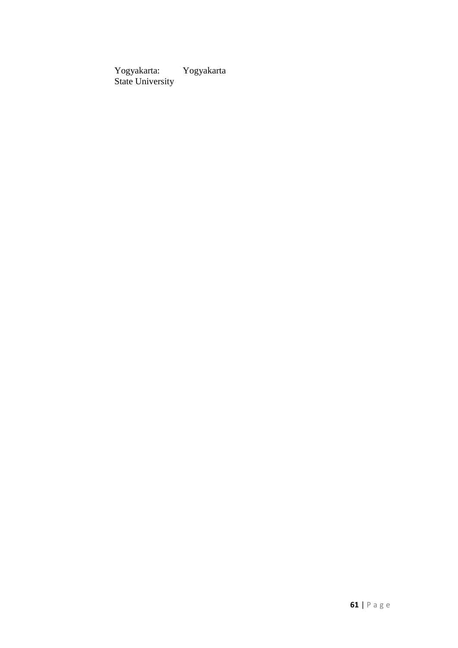Yogyakarta: Yogyakarta State University